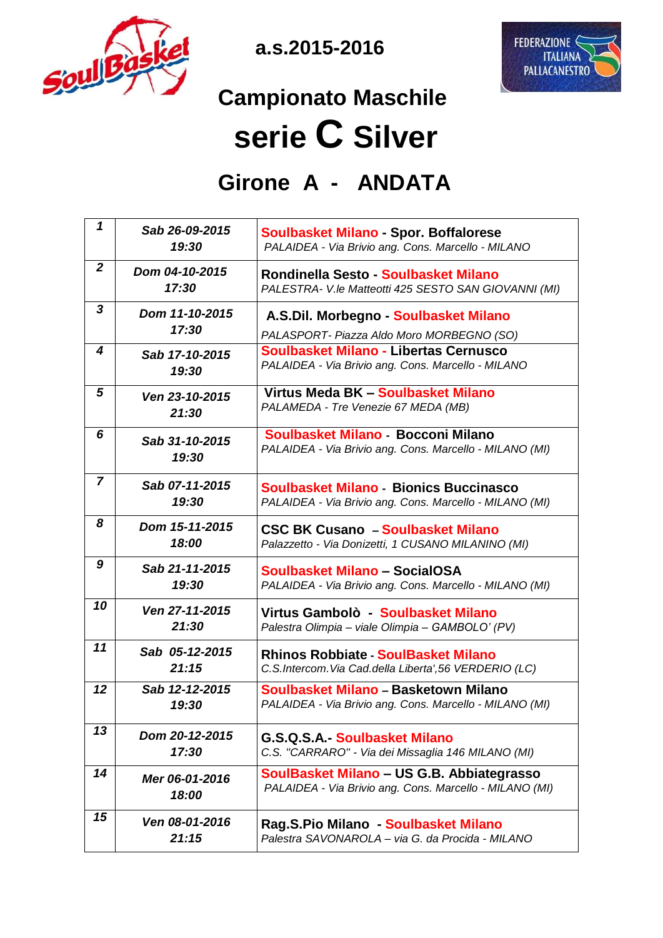

 **a.s.2015-2016**



## **Campionato Maschile serie C Silver**

## **Girone A - ANDATA**

| 1              | Sab 26-09-2015<br>19:30 | <b>Soulbasket Milano - Spor. Boffalorese</b><br>PALAIDEA - Via Brivio ang. Cons. Marcello - MILANO       |
|----------------|-------------------------|----------------------------------------------------------------------------------------------------------|
| $\overline{2}$ | Dom 04-10-2015<br>17:30 | Rondinella Sesto - Soulbasket Milano<br>PALESTRA- V.le Matteotti 425 SESTO SAN GIOVANNI (MI)             |
| 3              | Dom 11-10-2015<br>17:30 | A.S.Dil. Morbegno - Soulbasket Milano                                                                    |
|                |                         | PALASPORT- Piazza Aldo Moro MORBEGNO (SO)                                                                |
| 4              | Sab 17-10-2015<br>19:30 | Soulbasket Milano - Libertas Cernusco<br>PALAIDEA - Via Brivio ang. Cons. Marcello - MILANO              |
| 5              | Ven 23-10-2015<br>21:30 | Virtus Meda BK - Soulbasket Milano<br>PALAMEDA - Tre Venezie 67 MEDA (MB)                                |
| 6              | Sab 31-10-2015<br>19:30 | Soulbasket Milano - Bocconi Milano<br>PALAIDEA - Via Brivio ang. Cons. Marcello - MILANO (MI)            |
| $\overline{7}$ | Sab 07-11-2015<br>19:30 | <b>Soulbasket Milano - Bionics Buccinasco</b><br>PALAIDEA - Via Brivio ang. Cons. Marcello - MILANO (MI) |
| 8              | Dom 15-11-2015<br>18:00 | <b>CSC BK Cusano - Soulbasket Milano</b><br>Palazzetto - Via Donizetti, 1 CUSANO MILANINO (MI)           |
| 9              | Sab 21-11-2015<br>19:30 | Soulbasket Milano - SocialOSA<br>PALAIDEA - Via Brivio ang. Cons. Marcello - MILANO (MI)                 |
| 10             | Ven 27-11-2015<br>21:30 | Virtus Gambolò - Soulbasket Milano<br>Palestra Olimpia - viale Olimpia - GAMBOLO' (PV)                   |
| 11             | Sab 05-12-2015<br>21:15 | <b>Rhinos Robbiate - SoulBasket Milano</b><br>C.S.Intercom. Via Cad.della Liberta', 56 VERDERIO (LC)     |
| $12 \,$        | Sab 12-12-2015<br>19:30 | Soulbasket Milano - Basketown Milano<br>PALAIDEA - Via Brivio ang. Cons. Marcello - MILANO (MI)          |
| 13             | Dom 20-12-2015<br>17:30 | G.S.Q.S.A Soulbasket Milano<br>C.S. "CARRARO" - Via dei Missaglia 146 MILANO (MI)                        |
| 14             | Mer 06-01-2016<br>18:00 | SoulBasket Milano - US G.B. Abbiategrasso<br>PALAIDEA - Via Brivio ang. Cons. Marcello - MILANO (MI)     |
| 15             | Ven 08-01-2016<br>21:15 | Rag.S.Pio Milano - Soulbasket Milano<br>Palestra SAVONAROLA - via G. da Procida - MILANO                 |